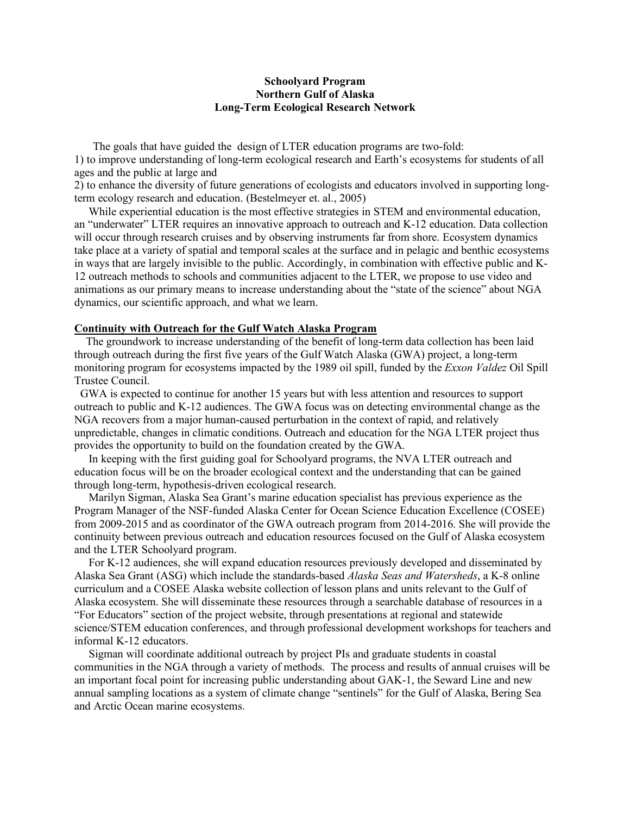# **Schoolyard Program Northern Gulf of Alaska Long-Term Ecological Research Network**

The goals that have guided the design of LTER education programs are two-fold: 1) to improve understanding of long-term ecological research and Earth's ecosystems for students of all ages and the public at large and

2) to enhance the diversity of future generations of ecologists and educators involved in supporting longterm ecology research and education. (Bestelmeyer et. al., 2005)

 While experiential education is the most effective strategies in STEM and environmental education, an "underwater" LTER requires an innovative approach to outreach and K-12 education. Data collection will occur through research cruises and by observing instruments far from shore. Ecosystem dynamics take place at a variety of spatial and temporal scales at the surface and in pelagic and benthic ecosystems in ways that are largely invisible to the public. Accordingly, in combination with effective public and K-12 outreach methods to schools and communities adjacent to the LTER, we propose to use video and animations as our primary means to increase understanding about the "state of the science" about NGA dynamics, our scientific approach, and what we learn.

### **Continuity with Outreach for the Gulf Watch Alaska Program**

 The groundwork to increase understanding of the benefit of long-term data collection has been laid through outreach during the first five years of the Gulf Watch Alaska (GWA) project, a long-term monitoring program for ecosystems impacted by the 1989 oil spill, funded by the *Exxon Valdez* Oil Spill Trustee Council.

 GWA is expected to continue for another 15 years but with less attention and resources to support outreach to public and K-12 audiences. The GWA focus was on detecting environmental change as the NGA recovers from a major human-caused perturbation in the context of rapid, and relatively unpredictable, changes in climatic conditions. Outreach and education for the NGA LTER project thus provides the opportunity to build on the foundation created by the GWA.

 In keeping with the first guiding goal for Schoolyard programs, the NVA LTER outreach and education focus will be on the broader ecological context and the understanding that can be gained through long-term, hypothesis-driven ecological research.

 Marilyn Sigman, Alaska Sea Grant's marine education specialist has previous experience as the Program Manager of the NSF-funded Alaska Center for Ocean Science Education Excellence (COSEE) from 2009-2015 and as coordinator of the GWA outreach program from 2014-2016. She will provide the continuity between previous outreach and education resources focused on the Gulf of Alaska ecosystem and the LTER Schoolyard program.

 For K-12 audiences, she will expand education resources previously developed and disseminated by Alaska Sea Grant (ASG) which include the standards-based *Alaska Seas and Watersheds*, a K-8 online curriculum and a COSEE Alaska website collection of lesson plans and units relevant to the Gulf of Alaska ecosystem. She will disseminate these resources through a searchable database of resources in a "For Educators" section of the project website, through presentations at regional and statewide science/STEM education conferences, and through professional development workshops for teachers and informal K-12 educators.

 Sigman will coordinate additional outreach by project PIs and graduate students in coastal communities in the NGA through a variety of methods. The process and results of annual cruises will be an important focal point for increasing public understanding about GAK-1, the Seward Line and new annual sampling locations as a system of climate change "sentinels" for the Gulf of Alaska, Bering Sea and Arctic Ocean marine ecosystems.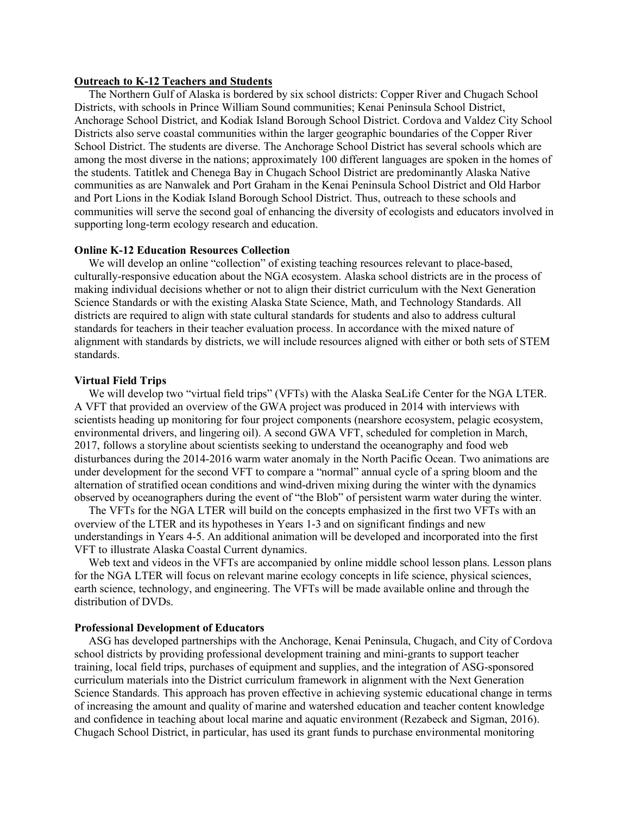## **Outreach to K-12 Teachers and Students**

 The Northern Gulf of Alaska is bordered by six school districts: Copper River and Chugach School Districts, with schools in Prince William Sound communities; Kenai Peninsula School District, Anchorage School District, and Kodiak Island Borough School District. Cordova and Valdez City School Districts also serve coastal communities within the larger geographic boundaries of the Copper River School District. The students are diverse. The Anchorage School District has several schools which are among the most diverse in the nations; approximately 100 different languages are spoken in the homes of the students. Tatitlek and Chenega Bay in Chugach School District are predominantly Alaska Native communities as are Nanwalek and Port Graham in the Kenai Peninsula School District and Old Harbor and Port Lions in the Kodiak Island Borough School District. Thus, outreach to these schools and communities will serve the second goal of enhancing the diversity of ecologists and educators involved in supporting long-term ecology research and education.

#### **Online K-12 Education Resources Collection**

We will develop an online "collection" of existing teaching resources relevant to place-based, culturally-responsive education about the NGA ecosystem. Alaska school districts are in the process of making individual decisions whether or not to align their district curriculum with the Next Generation Science Standards or with the existing Alaska State Science, Math, and Technology Standards. All districts are required to align with state cultural standards for students and also to address cultural standards for teachers in their teacher evaluation process. In accordance with the mixed nature of alignment with standards by districts, we will include resources aligned with either or both sets of STEM standards.

#### **Virtual Field Trips**

 We will develop two "virtual field trips" (VFTs) with the Alaska SeaLife Center for the NGA LTER. A VFT that provided an overview of the GWA project was produced in 2014 with interviews with scientists heading up monitoring for four project components (nearshore ecosystem, pelagic ecosystem, environmental drivers, and lingering oil). A second GWA VFT, scheduled for completion in March, 2017, follows a storyline about scientists seeking to understand the oceanography and food web disturbances during the 2014-2016 warm water anomaly in the North Pacific Ocean. Two animations are under development for the second VFT to compare a "normal" annual cycle of a spring bloom and the alternation of stratified ocean conditions and wind-driven mixing during the winter with the dynamics observed by oceanographers during the event of "the Blob" of persistent warm water during the winter.

 The VFTs for the NGA LTER will build on the concepts emphasized in the first two VFTs with an overview of the LTER and its hypotheses in Years 1-3 and on significant findings and new understandings in Years 4-5. An additional animation will be developed and incorporated into the first VFT to illustrate Alaska Coastal Current dynamics.

Web text and videos in the VFTs are accompanied by online middle school lesson plans. Lesson plans for the NGA LTER will focus on relevant marine ecology concepts in life science, physical sciences, earth science, technology, and engineering. The VFTs will be made available online and through the distribution of DVDs.

#### **Professional Development of Educators**

 ASG has developed partnerships with the Anchorage, Kenai Peninsula, Chugach, and City of Cordova school districts by providing professional development training and mini-grants to support teacher training, local field trips, purchases of equipment and supplies, and the integration of ASG-sponsored curriculum materials into the District curriculum framework in alignment with the Next Generation Science Standards. This approach has proven effective in achieving systemic educational change in terms of increasing the amount and quality of marine and watershed education and teacher content knowledge and confidence in teaching about local marine and aquatic environment (Rezabeck and Sigman, 2016). Chugach School District, in particular, has used its grant funds to purchase environmental monitoring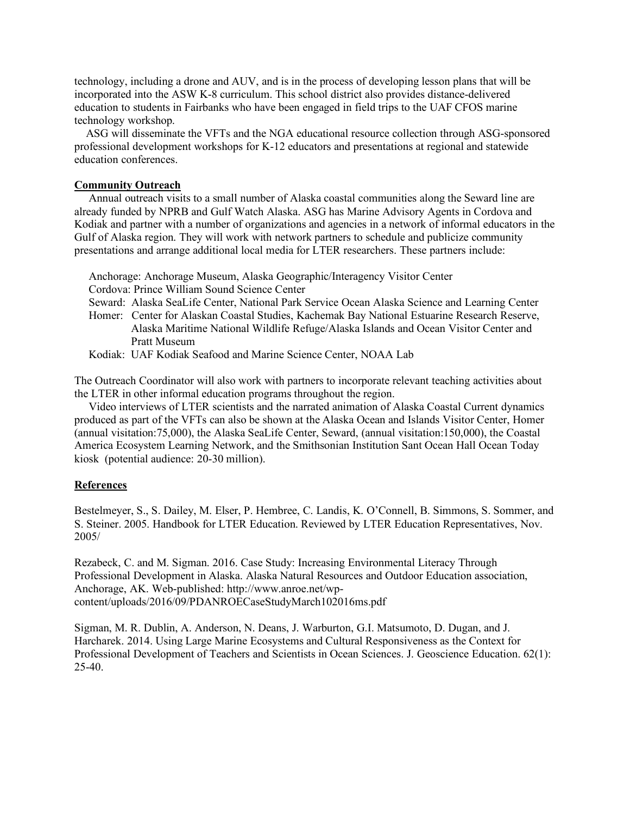technology, including a drone and AUV, and is in the process of developing lesson plans that will be incorporated into the ASW K-8 curriculum. This school district also provides distance-delivered education to students in Fairbanks who have been engaged in field trips to the UAF CFOS marine technology workshop.

 ASG will disseminate the VFTs and the NGA educational resource collection through ASG-sponsored professional development workshops for K-12 educators and presentations at regional and statewide education conferences.

## **Community Outreach**

 Annual outreach visits to a small number of Alaska coastal communities along the Seward line are already funded by NPRB and Gulf Watch Alaska. ASG has Marine Advisory Agents in Cordova and Kodiak and partner with a number of organizations and agencies in a network of informal educators in the Gulf of Alaska region. They will work with network partners to schedule and publicize community presentations and arrange additional local media for LTER researchers. These partners include:

 Anchorage: Anchorage Museum, Alaska Geographic/Interagency Visitor Center Cordova: Prince William Sound Science Center Seward: Alaska SeaLife Center, National Park Service Ocean Alaska Science and Learning Center Homer: Center for Alaskan Coastal Studies, Kachemak Bay National Estuarine Research Reserve, Alaska Maritime National Wildlife Refuge/Alaska Islands and Ocean Visitor Center and Pratt Museum

Kodiak: UAF Kodiak Seafood and Marine Science Center, NOAA Lab

The Outreach Coordinator will also work with partners to incorporate relevant teaching activities about the LTER in other informal education programs throughout the region.

 Video interviews of LTER scientists and the narrated animation of Alaska Coastal Current dynamics produced as part of the VFTs can also be shown at the Alaska Ocean and Islands Visitor Center, Homer (annual visitation:75,000), the Alaska SeaLife Center, Seward, (annual visitation:150,000), the Coastal America Ecosystem Learning Network, and the Smithsonian Institution Sant Ocean Hall Ocean Today kiosk (potential audience: 20-30 million).

## **References**

Bestelmeyer, S., S. Dailey, M. Elser, P. Hembree, C. Landis, K. O'Connell, B. Simmons, S. Sommer, and S. Steiner. 2005. Handbook for LTER Education. Reviewed by LTER Education Representatives, Nov. 2005/

Rezabeck, C. and M. Sigman. 2016. Case Study: Increasing Environmental Literacy Through Professional Development in Alaska. Alaska Natural Resources and Outdoor Education association, Anchorage, AK. Web-published: http://www.anroe.net/wpcontent/uploads/2016/09/PDANROECaseStudyMarch102016ms.pdf

Sigman, M. R. Dublin, A. Anderson, N. Deans, J. Warburton, G.I. Matsumoto, D. Dugan, and J. Harcharek. 2014. Using Large Marine Ecosystems and Cultural Responsiveness as the Context for Professional Development of Teachers and Scientists in Ocean Sciences. J. Geoscience Education. 62(1): 25-40.